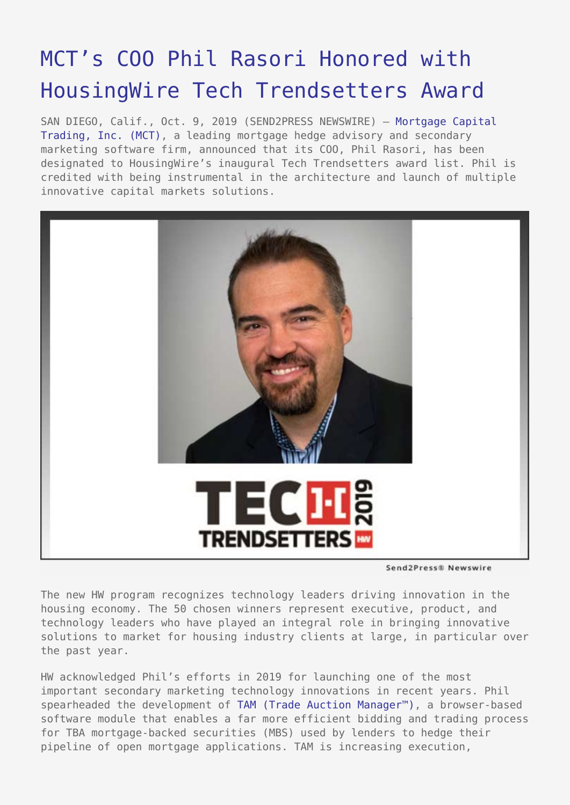## [MCT's COO Phil Rasori Honored with](https://www.send2press.com/wire/mcts-coo-phil-rasori-honored-with-housingwire-tech-trendsetters-award/) [HousingWire Tech Trendsetters Award](https://www.send2press.com/wire/mcts-coo-phil-rasori-honored-with-housingwire-tech-trendsetters-award/)

SAN DIEGO, Calif., Oct. 9, 2019 (SEND2PRESS NEWSWIRE) — [Mortgage Capital](https://mct-trading.com/) [Trading, Inc. \(MCT\)](https://mct-trading.com/), a leading mortgage hedge advisory and secondary marketing software firm, announced that its COO, Phil Rasori, has been designated to HousingWire's inaugural Tech Trendsetters award list. Phil is credited with being instrumental in the architecture and launch of multiple innovative capital markets solutions.



Send2Press® Newswire

The new HW program recognizes technology leaders driving innovation in the housing economy. The 50 chosen winners represent executive, product, and technology leaders who have played an integral role in bringing innovative solutions to market for housing industry clients at large, in particular over the past year.

HW acknowledged Phil's efforts in 2019 for launching one of the most important secondary marketing technology innovations in recent years. Phil spearheaded the development of [TAM \(Trade Auction Manager™\)](https://mct-trading.com/trade-auction-manager/), a browser-based software module that enables a far more efficient bidding and trading process for TBA mortgage-backed securities (MBS) used by lenders to hedge their pipeline of open mortgage applications. TAM is increasing execution,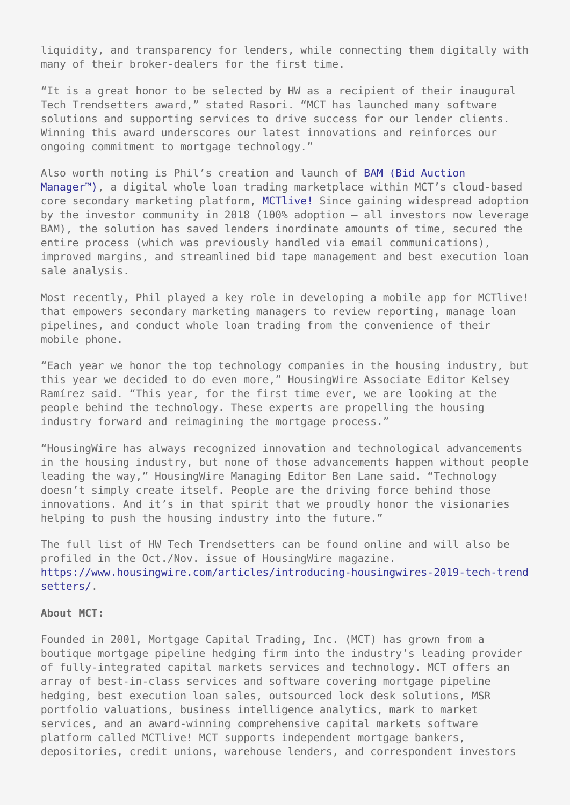liquidity, and transparency for lenders, while connecting them digitally with many of their broker-dealers for the first time.

"It is a great honor to be selected by HW as a recipient of their inaugural Tech Trendsetters award," stated Rasori. "MCT has launched many software solutions and supporting services to drive success for our lender clients. Winning this award underscores our latest innovations and reinforces our ongoing commitment to mortgage technology."

Also worth noting is Phil's creation and launch of [BAM \(Bid Auction](https://mct-trading.com/bid-auction-manager/) [Manager™\)](https://mct-trading.com/bid-auction-manager/), a digital whole loan trading marketplace within MCT's cloud-based core secondary marketing platform, [MCTlive!](https://mct-trading.com/solutions/mortgage-hedging/mctlive/?utm_source=Rob%20Chrisman&utm_medium=Fannie%20Full%20Suite%20Integration%209.26.19&utm_campaign=Chrisman%20Blurb%20Fannie%20Full%20Suite%20Integration) Since gaining widespread adoption by the investor community in 2018 (100% adoption – all investors now leverage BAM), the solution has saved lenders inordinate amounts of time, secured the entire process (which was previously handled via email communications), improved margins, and streamlined bid tape management and best execution loan sale analysis.

Most recently, Phil played a key role in developing a mobile app for MCTlive! that empowers secondary marketing managers to review reporting, manage loan pipelines, and conduct whole loan trading from the convenience of their mobile phone.

"Each year we honor the top technology companies in the housing industry, but this year we decided to do even more," HousingWire Associate Editor Kelsey Ramírez said. "This year, for the first time ever, we are looking at the people behind the technology. These experts are propelling the housing industry forward and reimagining the mortgage process."

"HousingWire has always recognized innovation and technological advancements in the housing industry, but none of those advancements happen without people leading the way," HousingWire Managing Editor Ben Lane said. "Technology doesn't simply create itself. People are the driving force behind those innovations. And it's in that spirit that we proudly honor the visionaries helping to push the housing industry into the future."

The full list of HW Tech Trendsetters can be found online and will also be profiled in the Oct./Nov. issue of HousingWire magazine. [https://www.housingwire.com/articles/introducing-housingwires-2019-tech-trend](https://www.housingwire.com/articles/introducing-housingwires-2019-tech-trendsetters/) [setters/](https://www.housingwire.com/articles/introducing-housingwires-2019-tech-trendsetters/).

## **About MCT:**

Founded in 2001, Mortgage Capital Trading, Inc. (MCT) has grown from a boutique mortgage pipeline hedging firm into the industry's leading provider of fully-integrated capital markets services and technology. MCT offers an array of best-in-class services and software covering mortgage pipeline hedging, best execution loan sales, outsourced lock desk solutions, MSR portfolio valuations, business intelligence analytics, mark to market services, and an award-winning comprehensive capital markets software platform called MCTlive! MCT supports independent mortgage bankers, depositories, credit unions, warehouse lenders, and correspondent investors